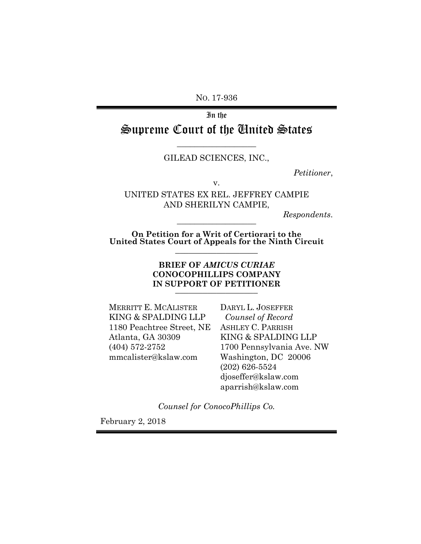NO. 17-936

In the Supreme Court of the United States

### –––––––––––––––––– GILEAD SCIENCES, INC.,

*Petitioner*,

v.

UNITED STATES EX REL. JEFFREY CAMPIE AND SHERILYN CAMPIE,

*Respondents*.

**On Petition for a Writ of Certiorari to the United States Court of Appeals for the Ninth Circuit** 

––––––––––––––––––

––––––––––––––––––

#### **BRIEF OF** *AMICUS CURIAE* **CONOCOPHILLIPS COMPANY IN SUPPORT OF PETITIONER**  ––––––––––––––––––

MERRITT E. MCALISTER KING & SPALDING LLP 1180 Peachtree Street, NE Atlanta, GA 30309 (404) 572-2752 mmcalister@kslaw.com

DARYL L. JOSEFFER  *Counsel of Record* ASHLEY C. PARRISH KING & SPALDING LLP 1700 Pennsylvania Ave. NW Washington, DC 20006 (202) 626-5524 djoseffer@kslaw.com aparrish@kslaw.com

*Counsel for ConocoPhillips Co.* 

February 2, 2018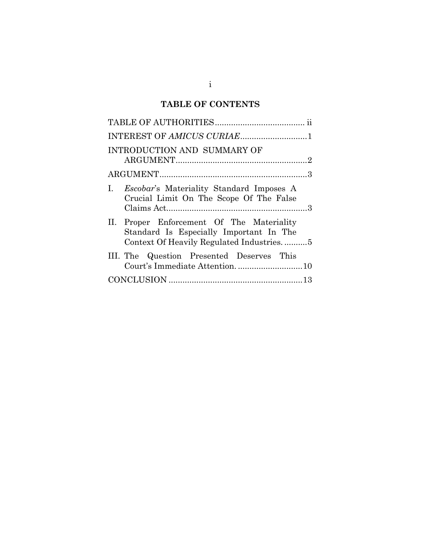# **TABLE OF CONTENTS**

| INTEREST OF AMICUS CURIAE1                                                                                                       |
|----------------------------------------------------------------------------------------------------------------------------------|
| INTRODUCTION AND SUMMARY OF                                                                                                      |
|                                                                                                                                  |
| I. Escobar's Materiality Standard Imposes A<br>Crucial Limit On The Scope Of The False                                           |
| II. Proper Enforcement Of The Materiality<br>Standard Is Especially Important In The<br>Context Of Heavily Regulated Industries5 |
| III. The Question Presented Deserves This                                                                                        |
|                                                                                                                                  |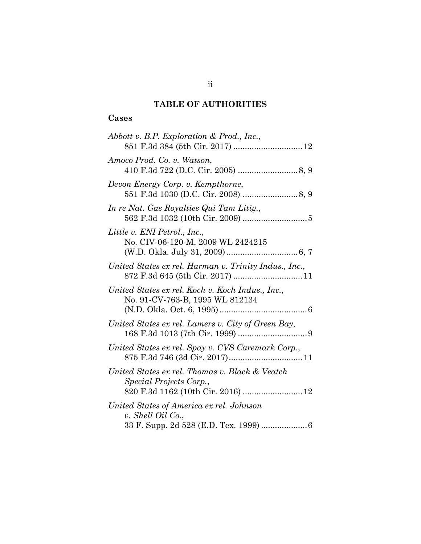## **TABLE OF AUTHORITIES**

### **Cases**

| Abbott v. B.P. Exploration & Prod., Inc.,                                                                       |
|-----------------------------------------------------------------------------------------------------------------|
| Amoco Prod. Co. v. Watson,                                                                                      |
| Devon Energy Corp. v. Kempthorne,                                                                               |
| In re Nat. Gas Royalties Qui Tam Litig.,                                                                        |
| Little v. ENI Petrol., Inc.,<br>No. CIV-06-120-M, 2009 WL 2424215                                               |
| United States ex rel. Harman v. Trinity Indus., Inc.,                                                           |
| United States ex rel. Koch v. Koch Indus., Inc.,<br>No. 91-CV-763-B, 1995 WL 812134                             |
| United States ex rel. Lamers v. City of Green Bay,                                                              |
| United States ex rel. Spay v. CVS Caremark Corp.,                                                               |
| United States ex rel. Thomas v. Black & Veatch<br>Special Projects Corp.,<br>820 F.3d 1162 (10th Cir. 2016)  12 |
| United States of America ex rel. Johnson<br>v. Shell Oil Co.,<br>33 F. Supp. 2d 528 (E.D. Tex. 1999)  6         |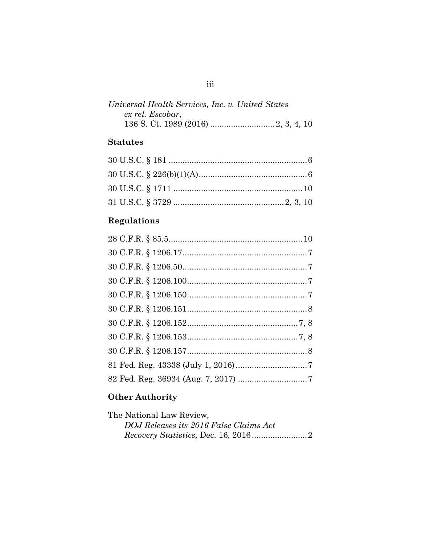| Universal Health Services, Inc. v. United States |  |  |
|--------------------------------------------------|--|--|
| ex rel. Escobar,                                 |  |  |
|                                                  |  |  |

# **Statutes**

# **Regulations**

# **Other Authority**

| The National Law Review.               |  |
|----------------------------------------|--|
| DOJ Releases its 2016 False Claims Act |  |
|                                        |  |

## iii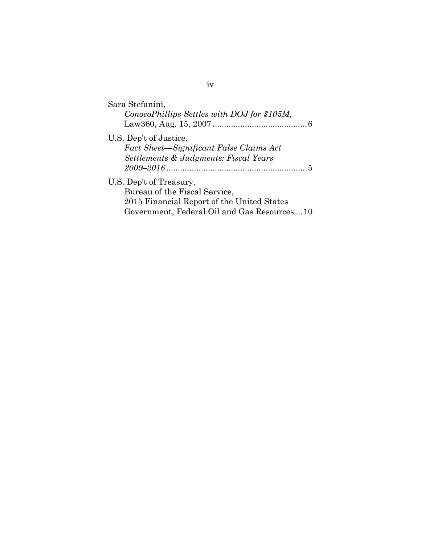| Sara Stefanini,<br>ConocoPhillips Settles with DOJ for \$105M, |
|----------------------------------------------------------------|
| U.S. Dep't of Justice,                                         |
| Fact Sheet—Significant False Claims Act                        |
| Settlements & Judgments: Fiscal Years                          |
|                                                                |
| U.S. Dep't of Treasury,                                        |
| Bureau of the Fiscal Service,                                  |
| 2015 Financial Report of the United States                     |
| Government, Federal Oil and Gas Resources 10                   |

iv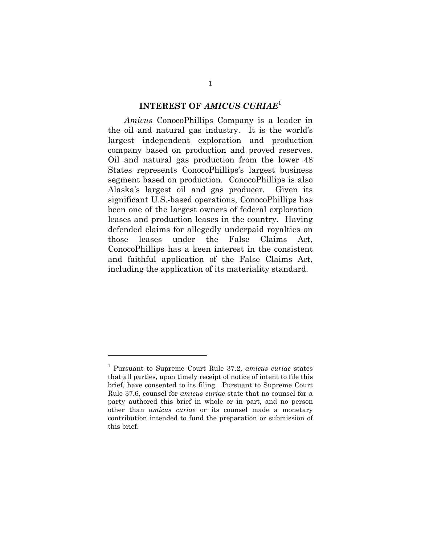#### **INTEREST OF** *AMICUS CURIAE***<sup>1</sup>**

*Amicus* ConocoPhillips Company is a leader in the oil and natural gas industry. It is the world's largest independent exploration and production company based on production and proved reserves. Oil and natural gas production from the lower 48 States represents ConocoPhillips's largest business segment based on production. ConocoPhillips is also Alaska's largest oil and gas producer. Given its significant U.S.-based operations, ConocoPhillips has been one of the largest owners of federal exploration leases and production leases in the country. Having defended claims for allegedly underpaid royalties on those leases under the False Claims Act, ConocoPhillips has a keen interest in the consistent and faithful application of the False Claims Act, including the application of its materiality standard.

 $\overline{a}$ 

<sup>1</sup> Pursuant to Supreme Court Rule 37.2, *amicus curiae* states that all parties, upon timely receipt of notice of intent to file this brief, have consented to its filing. Pursuant to Supreme Court Rule 37.6, counsel for *amicus curiae* state that no counsel for a party authored this brief in whole or in part, and no person other than *amicus curiae* or its counsel made a monetary contribution intended to fund the preparation or submission of this brief.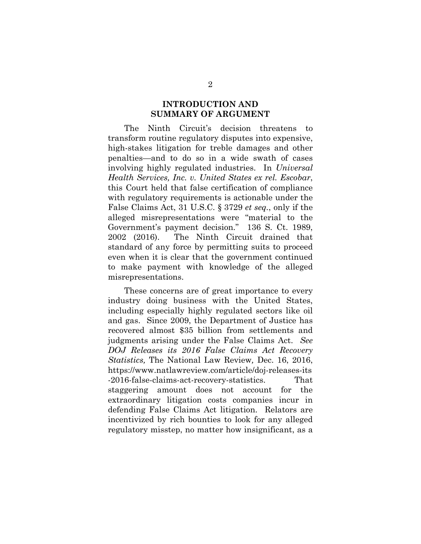### **INTRODUCTION AND SUMMARY OF ARGUMENT**

The Ninth Circuit's decision threatens to transform routine regulatory disputes into expensive, high-stakes litigation for treble damages and other penalties—and to do so in a wide swath of cases involving highly regulated industries. In *Universal Health Services, Inc. v. United States ex rel. Escobar*, this Court held that false certification of compliance with regulatory requirements is actionable under the False Claims Act, 31 U.S.C. § 3729 *et seq.*, only if the alleged misrepresentations were "material to the Government's payment decision." 136 S. Ct. 1989, 2002 (2016). The Ninth Circuit drained that standard of any force by permitting suits to proceed even when it is clear that the government continued to make payment with knowledge of the alleged misrepresentations.

These concerns are of great importance to every industry doing business with the United States, including especially highly regulated sectors like oil and gas. Since 2009, the Department of Justice has recovered almost \$35 billion from settlements and judgments arising under the False Claims Act. *See DOJ Releases its 2016 False Claims Act Recovery Statistics,* The National Law Review*,* Dec. 16, 2016, https://www.natlawreview.com/article/doj-releases-its -2016-false-claims-act-recovery-statistics. That staggering amount does not account for the extraordinary litigation costs companies incur in defending False Claims Act litigation. Relators are incentivized by rich bounties to look for any alleged regulatory misstep, no matter how insignificant, as a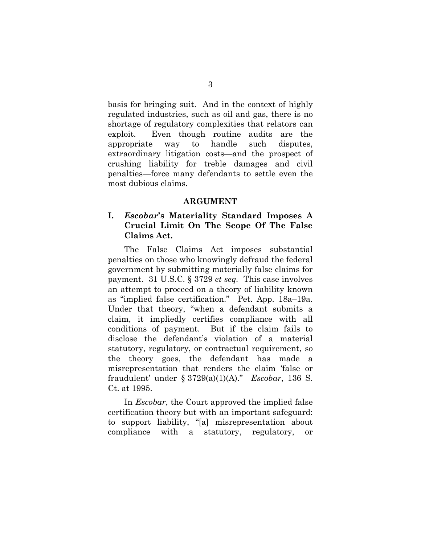basis for bringing suit. And in the context of highly regulated industries, such as oil and gas, there is no shortage of regulatory complexities that relators can exploit. Even though routine audits are the appropriate way to handle such disputes, extraordinary litigation costs—and the prospect of crushing liability for treble damages and civil penalties—force many defendants to settle even the most dubious claims.

#### **ARGUMENT**

### **I.** *Escobar***'s Materiality Standard Imposes A Crucial Limit On The Scope Of The False Claims Act.**

The False Claims Act imposes substantial penalties on those who knowingly defraud the federal government by submitting materially false claims for payment. 31 U.S.C. § 3729 *et seq.* This case involves an attempt to proceed on a theory of liability known as "implied false certification." Pet. App. 18a–19a. Under that theory, "when a defendant submits a claim, it impliedly certifies compliance with all conditions of payment. But if the claim fails to disclose the defendant's violation of a material statutory, regulatory, or contractual requirement, so the theory goes, the defendant has made a misrepresentation that renders the claim 'false or fraudulent' under § 3729(a)(1)(A)." *Escobar*, 136 S. Ct. at 1995.

In *Escobar*, the Court approved the implied false certification theory but with an important safeguard: to support liability, "[a] misrepresentation about compliance with a statutory, regulatory, or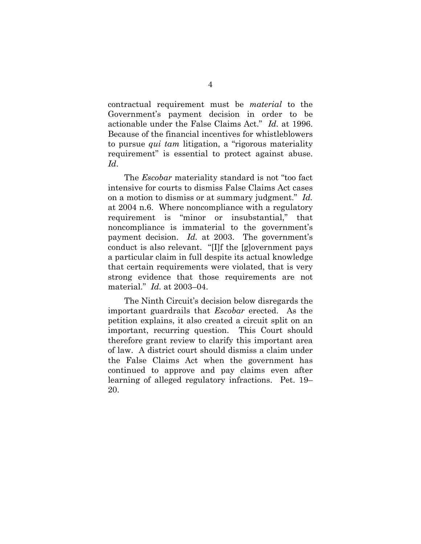contractual requirement must be *material* to the Government's payment decision in order to be actionable under the False Claims Act." *Id.* at 1996. Because of the financial incentives for whistleblowers to pursue *qui tam* litigation, a "rigorous materiality requirement" is essential to protect against abuse. *Id*.

The *Escobar* materiality standard is not "too fact intensive for courts to dismiss False Claims Act cases on a motion to dismiss or at summary judgment." *Id.* at 2004 n.6. Where noncompliance with a regulatory requirement is "minor or insubstantial," that noncompliance is immaterial to the government's payment decision. *Id.* at 2003. The government's conduct is also relevant. "[I]f the [g]overnment pays a particular claim in full despite its actual knowledge that certain requirements were violated, that is very strong evidence that those requirements are not material." *Id.* at 2003–04.

The Ninth Circuit's decision below disregards the important guardrails that *Escobar* erected. As the petition explains, it also created a circuit split on an important, recurring question. This Court should therefore grant review to clarify this important area of law. A district court should dismiss a claim under the False Claims Act when the government has continued to approve and pay claims even after learning of alleged regulatory infractions. Pet. 19– 20.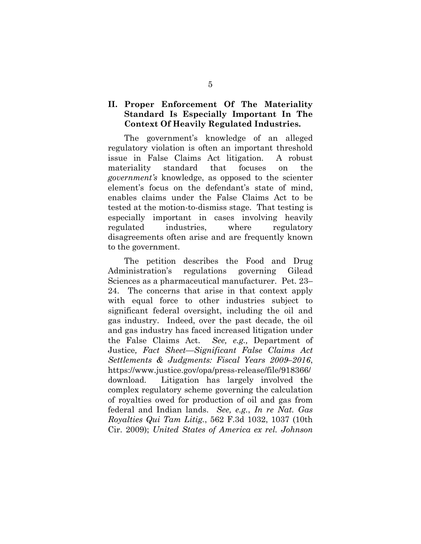### **II. Proper Enforcement Of The Materiality Standard Is Especially Important In The Context Of Heavily Regulated Industries.**

The government's knowledge of an alleged regulatory violation is often an important threshold issue in False Claims Act litigation. A robust materiality standard that focuses on the *government's* knowledge, as opposed to the scienter element's focus on the defendant's state of mind, enables claims under the False Claims Act to be tested at the motion-to-dismiss stage. That testing is especially important in cases involving heavily regulated industries, where regulatory disagreements often arise and are frequently known to the government.

The petition describes the Food and Drug Administration's regulations governing Gilead Sciences as a pharmaceutical manufacturer. Pet. 23– 24. The concerns that arise in that context apply with equal force to other industries subject to significant federal oversight, including the oil and gas industry. Indeed, over the past decade, the oil and gas industry has faced increased litigation under the False Claims Act. *See, e.g.,* Department of Justice*, Fact Sheet—Significant False Claims Act Settlements & Judgments: Fiscal Years 2009–2016*, https://www.justice.gov/opa/press-release/file/918366/ download*.* Litigation has largely involved the complex regulatory scheme governing the calculation of royalties owed for production of oil and gas from federal and Indian lands. *See, e.g.*, *In re Nat. Gas Royalties Qui Tam Litig.*, 562 F.3d 1032, 1037 (10th Cir. 2009); *United States of America ex rel. Johnson*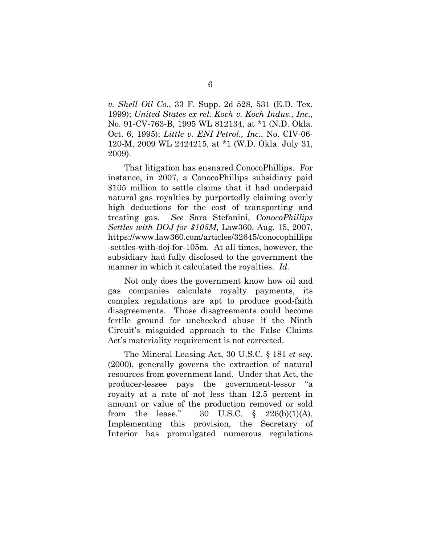*v. Shell Oil Co.*, 33 F. Supp. 2d 528, 531 (E.D. Tex. 1999); *United States ex rel. Koch v. Koch Indus., Inc.*, No. 91-CV-763-B, 1995 WL 812134, at \*1 (N.D. Okla. Oct. 6, 1995); *Little v. ENI Petrol., Inc.*, No. CIV-06- 120-M, 2009 WL 2424215, at \*1 (W.D. Okla. July 31, 2009).

That litigation has ensnared ConocoPhillips. For instance, in 2007, a ConocoPhillips subsidiary paid \$105 million to settle claims that it had underpaid natural gas royalties by purportedly claiming overly high deductions for the cost of transporting and treating gas. *See* Sara Stefanini, *ConocoPhillips Settles with DOJ for \$105M*, Law360, Aug. 15, 2007, https://www.law360.com/articles/32645/conocophillips -settles-with-doj-for-105m. At all times, however, the subsidiary had fully disclosed to the government the manner in which it calculated the royalties. *Id.* 

Not only does the government know how oil and gas companies calculate royalty payments, its complex regulations are apt to produce good-faith disagreements. Those disagreements could become fertile ground for unchecked abuse if the Ninth Circuit's misguided approach to the False Claims Act's materiality requirement is not corrected.

The Mineral Leasing Act, 30 U.S.C. § 181 *et seq.* (2000), generally governs the extraction of natural resources from government land. Under that Act, the producer-lessee pays the government-lessor "a royalty at a rate of not less than 12.5 percent in amount or value of the production removed or sold from the lease."  $30 \text{ U.S.C. } \S 226(b)(1)(A)$ . Implementing this provision, the Secretary of Interior has promulgated numerous regulations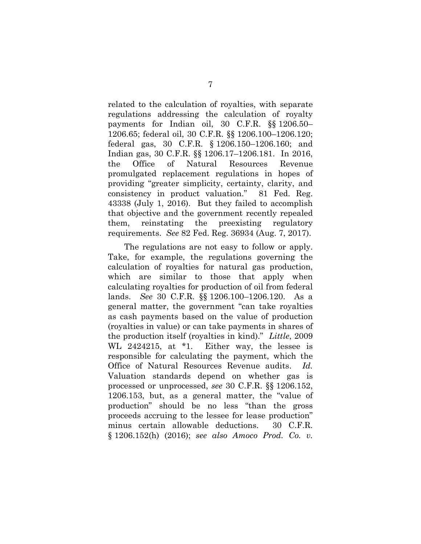related to the calculation of royalties, with separate regulations addressing the calculation of royalty payments for Indian oil, 30 C.F.R. §§ 1206.50– 1206.65; federal oil, 30 C.F.R. §§ 1206.100–1206.120; federal gas, 30 C.F.R. § 1206.150–1206.160; and Indian gas, 30 C.F.R. §§ 1206.17–1206.181. In 2016, the Office of Natural Resources Revenue promulgated replacement regulations in hopes of providing "greater simplicity, certainty, clarity, and consistency in product valuation." 81 Fed. Reg. 43338 (July 1, 2016). But they failed to accomplish that objective and the government recently repealed them, reinstating the preexisting regulatory requirements. *See* 82 Fed. Reg. 36934 (Aug. 7, 2017).

The regulations are not easy to follow or apply. Take, for example, the regulations governing the calculation of royalties for natural gas production, which are similar to those that apply when calculating royalties for production of oil from federal lands. *See* 30 C.F.R. §§ 1206.100–1206.120. As a general matter, the government "can take royalties as cash payments based on the value of production (royalties in value) or can take payments in shares of the production itself (royalties in kind)." *Little*, 2009 WL 2424215, at \*1. Either way, the lessee is responsible for calculating the payment, which the Office of Natural Resources Revenue audits. *Id.* Valuation standards depend on whether gas is processed or unprocessed, *see* 30 C.F.R. §§ 1206.152, 1206.153, but, as a general matter, the "value of production" should be no less "than the gross proceeds accruing to the lessee for lease production" minus certain allowable deductions. 30 C.F.R. § 1206.152(h) (2016); *see also Amoco Prod. Co. v.*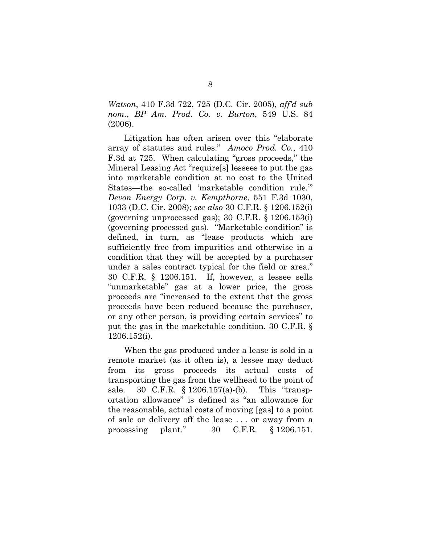*Watson*, 410 F.3d 722, 725 (D.C. Cir. 2005), *aff'd sub nom.*, *BP Am. Prod. Co. v. Burton*, 549 U.S. 84 (2006).

Litigation has often arisen over this "elaborate array of statutes and rules." *Amoco Prod. Co.*, 410 F.3d at 725. When calculating "gross proceeds," the Mineral Leasing Act "require[s] lessees to put the gas into marketable condition at no cost to the United States—the so-called 'marketable condition rule.'" *Devon Energy Corp. v. Kempthorne*, 551 F.3d 1030, 1033 (D.C. Cir. 2008); *see also* 30 C.F.R. § 1206.152(i) (governing unprocessed gas); 30 C.F.R. § 1206.153(i) (governing processed gas). "Marketable condition" is defined, in turn, as "lease products which are sufficiently free from impurities and otherwise in a condition that they will be accepted by a purchaser under a sales contract typical for the field or area." 30 C.F.R. § 1206.151. If, however, a lessee sells "unmarketable" gas at a lower price, the gross proceeds are "increased to the extent that the gross proceeds have been reduced because the purchaser, or any other person, is providing certain services" to put the gas in the marketable condition. 30 C.F.R. § 1206.152(i).

When the gas produced under a lease is sold in a remote market (as it often is), a lessee may deduct from its gross proceeds its actual costs of transporting the gas from the wellhead to the point of sale. 30 C.F.R. § 1206.157(a)-(b). This "transportation allowance" is defined as "an allowance for the reasonable, actual costs of moving [gas] to a point of sale or delivery off the lease . . . or away from a processing plant." 30 C.F.R. § 1206.151.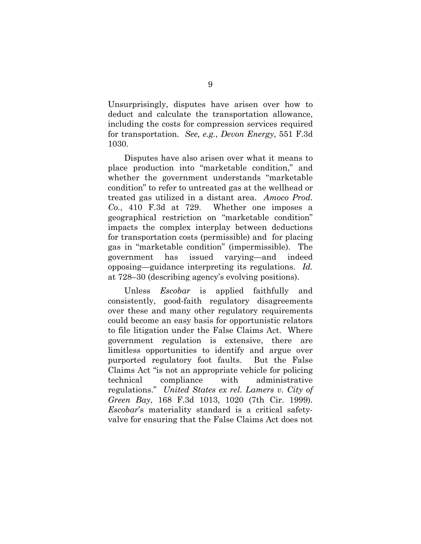Unsurprisingly, disputes have arisen over how to deduct and calculate the transportation allowance, including the costs for compression services required for transportation. *See, e.g.*, *Devon Energy*, 551 F.3d 1030.

Disputes have also arisen over what it means to place production into "marketable condition," and whether the government understands "marketable condition" to refer to untreated gas at the wellhead or treated gas utilized in a distant area. *Amoco Prod. Co.*, 410 F.3d at 729. Whether one imposes a geographical restriction on "marketable condition" impacts the complex interplay between deductions for transportation costs (permissible) and for placing gas in "marketable condition" (impermissible). The government has issued varying—and indeed opposing—guidance interpreting its regulations. *Id.* at 728–30 (describing agency's evolving positions).

Unless *Escobar* is applied faithfully and consistently, good-faith regulatory disagreements over these and many other regulatory requirements could become an easy basis for opportunistic relators to file litigation under the False Claims Act. Where government regulation is extensive, there are limitless opportunities to identify and argue over purported regulatory foot faults. But the False Claims Act "is not an appropriate vehicle for policing technical compliance with administrative regulations." *United States ex rel. Lamers v. City of Green Bay*, 168 F.3d 1013, 1020 (7th Cir. 1999). *Escobar*'s materiality standard is a critical safetyvalve for ensuring that the False Claims Act does not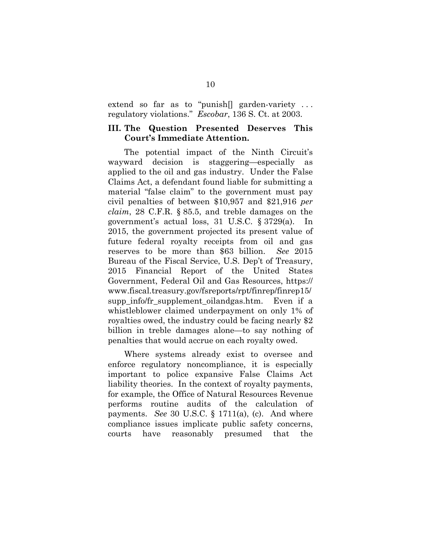extend so far as to "punish<sup>[]</sup> garden-variety ... regulatory violations." *Escobar*, 136 S. Ct. at 2003.

### **III. The Question Presented Deserves This Court's Immediate Attention.**

The potential impact of the Ninth Circuit's wayward decision is staggering—especially as applied to the oil and gas industry. Under the False Claims Act, a defendant found liable for submitting a material "false claim" to the government must pay civil penalties of between \$10,957 and \$21,916 *per claim*, 28 C.F.R. § 85.5, and treble damages on the government's actual loss, 31 U.S.C. § 3729(a). In 2015, the government projected its present value of future federal royalty receipts from oil and gas reserves to be more than \$63 billion. *See* 2015 Bureau of the Fiscal Service, U.S. Dep't of Treasury, 2015 Financial Report of the United States Government, Federal Oil and Gas Resources, https:// www.fiscal.treasury.gov/fsreports/rpt/finrep/finrep15/ supp info/fr supplement oilandgas.htm. Even if a whistleblower claimed underpayment on only 1% of royalties owed, the industry could be facing nearly \$2 billion in treble damages alone—to say nothing of penalties that would accrue on each royalty owed.

Where systems already exist to oversee and enforce regulatory noncompliance, it is especially important to police expansive False Claims Act liability theories. In the context of royalty payments, for example, the Office of Natural Resources Revenue performs routine audits of the calculation of payments. *See* 30 U.S.C. § 1711(a), (c). And where compliance issues implicate public safety concerns, courts have reasonably presumed that the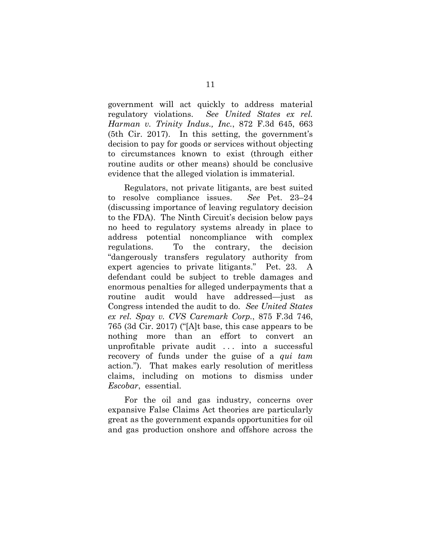government will act quickly to address material regulatory violations. *See United States ex rel. Harman v. Trinity Indus., Inc.*, 872 F.3d 645, 663 (5th Cir. 2017). In this setting, the government's decision to pay for goods or services without objecting to circumstances known to exist (through either routine audits or other means) should be conclusive evidence that the alleged violation is immaterial.

Regulators, not private litigants, are best suited to resolve compliance issues. *See* Pet. 23–24 (discussing importance of leaving regulatory decision to the FDA). The Ninth Circuit's decision below pays no heed to regulatory systems already in place to address potential noncompliance with complex regulations. To the contrary, the decision "dangerously transfers regulatory authority from expert agencies to private litigants." Pet. 23. A defendant could be subject to treble damages and enormous penalties for alleged underpayments that a routine audit would have addressed—just as Congress intended the audit to do. *See United States ex rel. Spay v. CVS Caremark Corp.*, 875 F.3d 746, 765 (3d Cir. 2017) ("[A]t base, this case appears to be nothing more than an effort to convert an unprofitable private audit . . . into a successful recovery of funds under the guise of a *qui tam* action."). That makes early resolution of meritless claims, including on motions to dismiss under *Escobar*, essential.

For the oil and gas industry, concerns over expansive False Claims Act theories are particularly great as the government expands opportunities for oil and gas production onshore and offshore across the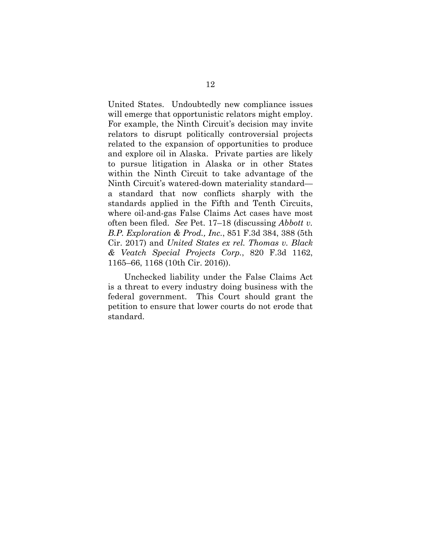United States. Undoubtedly new compliance issues will emerge that opportunistic relators might employ. For example, the Ninth Circuit's decision may invite relators to disrupt politically controversial projects related to the expansion of opportunities to produce and explore oil in Alaska. Private parties are likely to pursue litigation in Alaska or in other States within the Ninth Circuit to take advantage of the Ninth Circuit's watered-down materiality standard a standard that now conflicts sharply with the standards applied in the Fifth and Tenth Circuits, where oil-and-gas False Claims Act cases have most often been filed. *See* Pet. 17–18 (discussing *Abbott v. B.P. Exploration & Prod., Inc.*, 851 F.3d 384, 388 (5th Cir. 2017) and *United States ex rel. Thomas v. Black & Veatch Special Projects Corp.*, 820 F.3d 1162, 1165–66, 1168 (10th Cir. 2016)).

Unchecked liability under the False Claims Act is a threat to every industry doing business with the federal government. This Court should grant the petition to ensure that lower courts do not erode that standard.